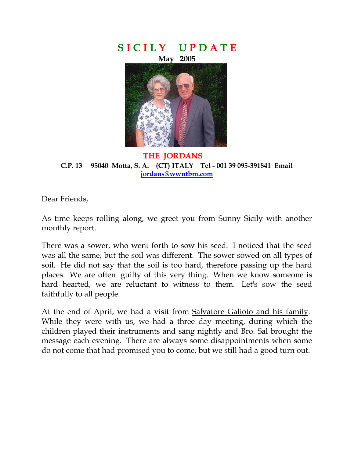



**THE JORDANS C.P. 13 95040 Motta, S. A. (CT) ITALY Tel - 001 39 095-391841 Email jordans@wwntbm.com** 

I

Dear Friends,

As time keeps rolling along, we greet you from Sunny Sicily with another monthly report.

There was a sower, who went forth to sow his seed. I noticed that the seed was all the same, but the soil was different. The sower sowed on all types of soil. He did not say that the soil is too hard, therefore passing up the hard places. We are often guilty of this very thing. When we know someone is hard hearted, we are reluctant to witness to them. Let's sow the seed faithfully to all people.

At the end of April, we had a visit from Salvatore Galioto and his family. While they were with us, we had a three day meeting, during which the children played their instruments and sang nightly and Bro. Sal brought the message each evening. There are always some disappointments when some do not come that had promised you to come, but we still had a good turn out.